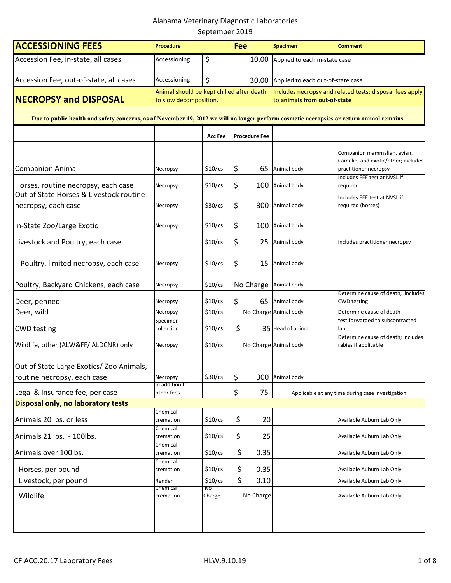| <b>ACCESSIONING FEES</b>                                                                                                                  | <b>Procedure</b>                                                    | <b>Fee</b>      |    | <b>Specimen</b>      | <b>Comment</b>                                                                           |                                                                                              |  |
|-------------------------------------------------------------------------------------------------------------------------------------------|---------------------------------------------------------------------|-----------------|----|----------------------|------------------------------------------------------------------------------------------|----------------------------------------------------------------------------------------------|--|
| Accession Fee, in-state, all cases                                                                                                        | Accessioning                                                        | \$              |    | 10.00                | Applied to each in-state case                                                            |                                                                                              |  |
| Accession Fee, out-of-state, all cases                                                                                                    | Accessioning                                                        | \$              |    |                      |                                                                                          |                                                                                              |  |
|                                                                                                                                           |                                                                     |                 |    |                      | 30.00 Applied to each out-of-state case                                                  |                                                                                              |  |
| <b>NECROPSY and DISPOSAL</b>                                                                                                              | Animal should be kept chilled after death<br>to slow decomposition. |                 |    |                      | Includes necropsy and related tests; disposal fees apply<br>to animals from out-of-state |                                                                                              |  |
| Due to public health and safety concerns, as of November 19, 2012 we will no longer perform cosmetic necropsies or return animal remains. |                                                                     |                 |    |                      |                                                                                          |                                                                                              |  |
|                                                                                                                                           |                                                                     | <b>Acc Fee</b>  |    | <b>Procedure Fee</b> |                                                                                          |                                                                                              |  |
|                                                                                                                                           |                                                                     |                 |    |                      |                                                                                          | Companion mammalian, avian,                                                                  |  |
| <b>Companion Animal</b>                                                                                                                   | Necropsy                                                            | $$10$ /cs       | \$ | 65                   | Animal body                                                                              | Camelid, and exotic/other; includes<br>practitioner necropsy<br>Includes EEE test at NVSL if |  |
| Horses, routine necropsy, each case                                                                                                       | Necropsy                                                            | $$10$ /cs       | \$ | 100                  | Animal body                                                                              | required                                                                                     |  |
| Out of State Horses & Livestock routine<br>necropsy, each case                                                                            | Necropsy                                                            | $$30$ /cs       | \$ | 300                  | Animal body                                                                              | Includes EEE test at NVSL if<br>required (horses)                                            |  |
|                                                                                                                                           |                                                                     |                 |    |                      |                                                                                          |                                                                                              |  |
| In-State Zoo/Large Exotic                                                                                                                 | Necropsy                                                            | $$10$ /cs       | \$ | 100                  | Animal body                                                                              |                                                                                              |  |
| Livestock and Poultry, each case                                                                                                          |                                                                     | $$10$ /cs       | \$ | 25                   | Animal body                                                                              | includes practitioner necropsy                                                               |  |
| Poultry, limited necropsy, each case                                                                                                      | Necropsy                                                            | $$10$ /cs       | \$ | 15                   | Animal body                                                                              |                                                                                              |  |
| Poultry, Backyard Chickens, each case                                                                                                     | Necropsy                                                            | $$10$ /cs       |    | No Charge            | Animal body                                                                              |                                                                                              |  |
| Deer, penned                                                                                                                              | Necropsy                                                            | $$10$ /cs       | \$ | 65                   | Animal body                                                                              | Determine cause of death, includes<br><b>CWD</b> testing                                     |  |
| Deer, wild                                                                                                                                | Necropsy                                                            | $$10$ /cs       |    |                      | No Charge Animal body                                                                    | Determine cause of death                                                                     |  |
|                                                                                                                                           | Specimen                                                            |                 |    |                      |                                                                                          | test forwarded to subcontracted                                                              |  |
| <b>CWD</b> testing                                                                                                                        | collection                                                          | $$10$ /cs       | \$ |                      | 35 Head of animal                                                                        | lab                                                                                          |  |
| Wildlife, other (ALW&FF/ ALDCNR) only                                                                                                     | Necropsy                                                            | $$10$ /cs       |    |                      | No Charge Animal body                                                                    | Determine cause of death; includes<br>rabies if applicable                                   |  |
| Out of State Large Exotics/ Zoo Animals,                                                                                                  |                                                                     |                 |    |                      |                                                                                          |                                                                                              |  |
| routine necropsy, each case                                                                                                               | Necropsy                                                            | $$30$ /cs       | \$ |                      | 300 Animal body                                                                          |                                                                                              |  |
| Legal & Insurance fee, per case                                                                                                           | In addition to<br>other fees                                        |                 | \$ | 75                   |                                                                                          | Applicable at any time during case investigation                                             |  |
| Disposal only, no laboratory tests                                                                                                        |                                                                     |                 |    |                      |                                                                                          |                                                                                              |  |
| Animals 20 lbs. or less                                                                                                                   | Chemical<br>cremation<br>Chemical                                   | $$10$ /cs       | \$ | 20                   |                                                                                          | Available Auburn Lab Only                                                                    |  |
| Animals 21 lbs. - 100lbs.                                                                                                                 | cremation                                                           | $$10$ /cs       | \$ | 25                   |                                                                                          | Available Auburn Lab Only                                                                    |  |
| Animals over 100lbs.                                                                                                                      | Chemical<br>cremation<br>Chemical                                   | $$10$ /cs       | \$ | 0.35                 |                                                                                          | Available Auburn Lab Only                                                                    |  |
| Horses, per pound                                                                                                                         | cremation                                                           | $$10$ /cs       | \$ | 0.35                 |                                                                                          | Available Auburn Lab Only                                                                    |  |
| Livestock, per pound                                                                                                                      | Render<br>Chemical                                                  | $$10$ /cs<br>No | \$ | 0.10                 |                                                                                          | Available Auburn Lab Only                                                                    |  |
| Wildlife                                                                                                                                  | cremation                                                           | Charge          |    | No Charge            |                                                                                          | Available Auburn Lab Only                                                                    |  |
|                                                                                                                                           |                                                                     |                 |    |                      |                                                                                          |                                                                                              |  |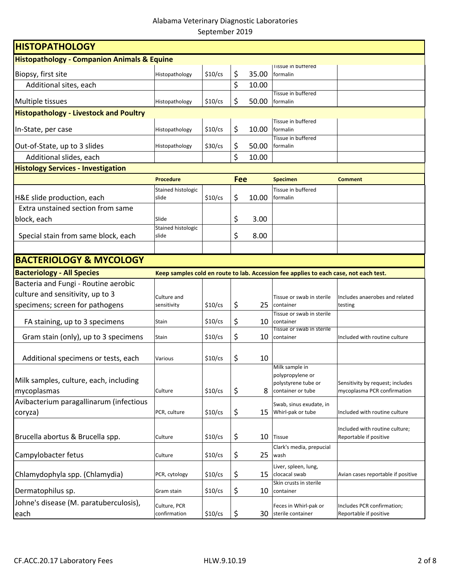| <b>HISTOPATHOLOGY</b>                                  |                             |           |            |       |                                                                                       |                                    |  |  |
|--------------------------------------------------------|-----------------------------|-----------|------------|-------|---------------------------------------------------------------------------------------|------------------------------------|--|--|
| <b>Histopathology - Companion Animals &amp; Equine</b> |                             |           |            |       |                                                                                       |                                    |  |  |
| Biopsy, first site                                     | Histopathology              | $$10$ /cs | \$         | 35.00 | <b>Tissue in buttered</b><br>formalin                                                 |                                    |  |  |
| Additional sites, each                                 |                             |           | \$         | 10.00 |                                                                                       |                                    |  |  |
|                                                        |                             |           |            |       | Tissue in buffered                                                                    |                                    |  |  |
| Multiple tissues                                       | Histopathology              | $$10$ /cs | \$         | 50.00 | formalin                                                                              |                                    |  |  |
| <b>Histopathology - Livestock and Poultry</b>          |                             |           |            |       |                                                                                       |                                    |  |  |
| In-State, per case                                     | Histopathology              | $$10$ /cs | \$         | 10.00 | Tissue in buffered<br>formalin                                                        |                                    |  |  |
| Out-of-State, up to 3 slides                           | Histopathology              | $$30$ /cs | \$         | 50.00 | Tissue in buffered<br>formalin                                                        |                                    |  |  |
| Additional slides, each                                |                             |           | \$         | 10.00 |                                                                                       |                                    |  |  |
| <b>Histology Services - Investigation</b>              |                             |           |            |       |                                                                                       |                                    |  |  |
|                                                        | <b>Procedure</b>            |           | <b>Fee</b> |       | <b>Specimen</b>                                                                       | <b>Comment</b>                     |  |  |
|                                                        | Stained histologic          |           |            |       | Tissue in buffered                                                                    |                                    |  |  |
| H&E slide production, each                             | slide                       | $$10$ /cs | \$         | 10.00 | formalin                                                                              |                                    |  |  |
| Extra unstained section from same                      |                             |           |            |       |                                                                                       |                                    |  |  |
| block, each                                            | Slide                       |           | \$         | 3.00  |                                                                                       |                                    |  |  |
| Special stain from same block, each                    | Stained histologic<br>slide |           | \$         | 8.00  |                                                                                       |                                    |  |  |
|                                                        |                             |           |            |       |                                                                                       |                                    |  |  |
| <b>BACTERIOLOGY &amp; MYCOLOGY</b>                     |                             |           |            |       |                                                                                       |                                    |  |  |
| <b>Bacteriology - All Species</b>                      |                             |           |            |       | Keep samples cold en route to lab. Accession fee applies to each case, not each test. |                                    |  |  |
| Bacteria and Fungi - Routine aerobic                   |                             |           |            |       |                                                                                       |                                    |  |  |
| culture and sensitivity, up to 3                       | Culture and                 |           |            |       | Tissue or swab in sterile                                                             | Includes anaerobes and related     |  |  |
| specimens; screen for pathogens                        | sensitivity                 | \$10/cs   | \$         | 25    | container                                                                             | testing                            |  |  |
|                                                        |                             |           |            |       | Tissue or swab in sterile                                                             |                                    |  |  |
| FA staining, up to 3 specimens                         | Stain                       | $$10$ /cs | \$         | 10    | container<br>Tissue or swab in sterile                                                |                                    |  |  |
| Gram stain (only), up to 3 specimens                   | Stain                       | $$10$ /cs | \$         | 10    | container                                                                             | Included with routine culture      |  |  |
|                                                        |                             |           |            |       |                                                                                       |                                    |  |  |
| Additional specimens or tests, each                    | Various                     | $$10$ /cs | \$         | 10    |                                                                                       |                                    |  |  |
|                                                        |                             |           |            |       | Milk sample in<br>polypropylene or                                                    |                                    |  |  |
| Milk samples, culture, each, including                 |                             |           |            |       | polystyrene tube or                                                                   | Sensitivity by request; includes   |  |  |
| mycoplasmas                                            | Culture                     | \$10/cs   | \$         | 8     | container or tube                                                                     | mycoplasma PCR confirmation        |  |  |
| Avibacterium paragallinarum (infectious                |                             |           |            |       | Swab, sinus exudate, in                                                               |                                    |  |  |
| coryza)                                                | PCR, culture                | $$10$ /cs | \$         | 15    | Whirl-pak or tube                                                                     | Included with routine culture      |  |  |
|                                                        |                             |           |            |       |                                                                                       | Included with routine culture;     |  |  |
| Brucella abortus & Brucella spp.                       | Culture                     | $$10$ /cs | \$         | 10    | <b>Tissue</b>                                                                         | Reportable if positive             |  |  |
|                                                        |                             |           |            |       | Clark's media, prepucial                                                              |                                    |  |  |
| Campylobacter fetus                                    | Culture                     | $$10$ /cs | \$         | 25    | wash                                                                                  |                                    |  |  |
| Chlamydophyla spp. (Chlamydia)                         | PCR, cytology               | $$10$ /cs | \$         | 15    | Liver, spleen, lung,<br>clocacal swab                                                 | Avian cases reportable if positive |  |  |
|                                                        |                             |           |            |       | Skin crusts in sterile                                                                |                                    |  |  |
| Dermatophilus sp.                                      | Gram stain                  | $$10$ /cs | \$         | 10    | container                                                                             |                                    |  |  |
| Johne's disease (M. paratuberculosis),                 | Culture, PCR                |           |            |       | Feces in Whirl-pak or                                                                 | Includes PCR confirmation;         |  |  |
| each                                                   | confirmation                | \$10/cs   | \$         |       | 30 sterile container                                                                  | Reportable if positive             |  |  |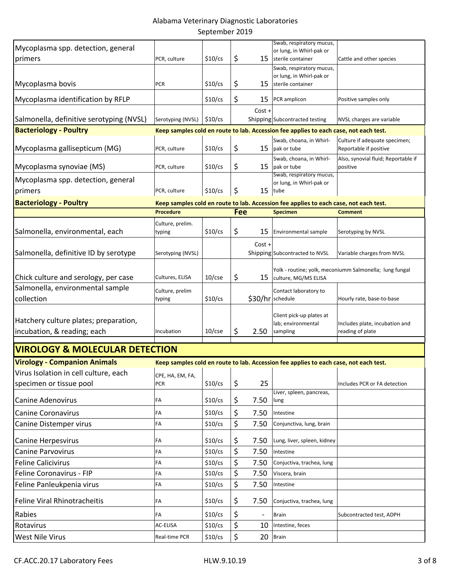| Mycoplasma spp. detection, general<br>primers                        | PCR, culture                   | $$10$ /cs | \$         |                   | Swab, respiratory mucus,<br>or lung, in Whirl-pak or<br>15 sterile container          | Cattle and other species                                |
|----------------------------------------------------------------------|--------------------------------|-----------|------------|-------------------|---------------------------------------------------------------------------------------|---------------------------------------------------------|
|                                                                      |                                |           |            |                   | Swab, respiratory mucus,                                                              |                                                         |
|                                                                      |                                |           |            |                   | or lung, in Whirl-pak or                                                              |                                                         |
| Mycoplasma bovis                                                     | <b>PCR</b>                     | $$10$ /cs | \$         | 15                | sterile container                                                                     |                                                         |
| Mycoplasma identification by RFLP                                    |                                | $$10$ /cs | \$         | 15                | PCR amplicon                                                                          | Positive samples only                                   |
|                                                                      |                                |           |            | $Cost +$          |                                                                                       |                                                         |
| Salmonella, definitive serotyping (NVSL)                             | Serotyping (NVSL)              | $$10$ /cs |            |                   | Shipping Subcontracted testing                                                        | NVSL charges are variable                               |
| <b>Bacteriology - Poultry</b>                                        |                                |           |            |                   | Keep samples cold en route to lab. Accession fee applies to each case, not each test. |                                                         |
| Mycoplasma gallisepticum (MG)                                        | PCR, culture                   | $$10$ /cs | \$         | 15                | Swab, choana, in Whirl-<br>pak or tube                                                | Culture if adequate specimen;<br>Reportable if positive |
| Mycoplasma synoviae (MS)                                             | PCR, culture                   | $$10$ /cs | \$         | 15                | Swab, choana, in Whirl-<br>pak or tube                                                | Also, synovial fluid; Reportable if<br>positive         |
| Mycoplasma spp. detection, general                                   |                                |           |            |                   | Swab, respiratory mucus,<br>or lung, in Whirl-pak or                                  |                                                         |
| primers                                                              | PCR, culture                   | \$10/cs   | \$         | 15                | tube                                                                                  |                                                         |
| <b>Bacteriology - Poultry</b>                                        |                                |           |            |                   | Keep samples cold en route to lab. Accession fee applies to each case, not each test. |                                                         |
|                                                                      | <b>Procedure</b>               |           | <b>Fee</b> |                   | <b>Specimen</b>                                                                       | <b>Comment</b>                                          |
|                                                                      | Culture, prelim.               |           |            |                   |                                                                                       |                                                         |
| Salmonella, environmental, each                                      | typing                         | $$10$ /cs | \$         | 15                | Environmental sample                                                                  | Serotyping by NVSL                                      |
| Salmonella, definitive ID by serotype                                | Serotyping (NVSL)              |           |            | Cost +            | Shipping Subcontracted to NVSL                                                        | Variable charges from NVSL                              |
| Chick culture and serology, per case                                 | Cultures, ELISA                | $10$ /cse | \$         | 15                | culture, MG/MS ELISA                                                                  | Yolk - routine; yolk, meconiumm Salmonella; lung fungal |
| Salmonella, environmental sample                                     | Culture, prelim                |           |            |                   | Contact laboratory to                                                                 |                                                         |
| collection                                                           | typing                         | $$10$ /cs |            | \$30/hr schedule  |                                                                                       | Hourly rate, base-to-base                               |
| Hatchery culture plates; preparation,<br>incubation, & reading; each | Incubation                     | $10$ /cse | \$         | 2.50              | Client pick-up plates at<br>lab; environmental<br>sampling                            | Includes plate, incubation and<br>reading of plate      |
| <b>VIROLOGY &amp; MOLECULAR DETECTION</b>                            |                                |           |            |                   |                                                                                       |                                                         |
|                                                                      |                                |           |            |                   |                                                                                       |                                                         |
| <b>Virology - Companion Animals</b>                                  |                                |           |            |                   | Keep samples cold en route to lab. Accession fee applies to each case, not each test. |                                                         |
| Virus Isolation in cell culture, each<br>specimen or tissue pool     | CPE, HA, EM, FA,<br><b>PCR</b> | $$10$ /cs | \$         | 25                |                                                                                       | Includes PCR or FA detection                            |
| <b>Canine Adenovirus</b>                                             |                                | $$10$ /cs |            | 7.50              | Liver, spleen, pancreas,                                                              |                                                         |
|                                                                      | FA                             |           | \$         |                   | lung                                                                                  |                                                         |
| <b>Canine Coronavirus</b>                                            | FA<br>FA                       | $$10$ /cs | \$<br>\$   | 7.50<br>7.50      | Intestine                                                                             |                                                         |
| Canine Distemper virus                                               |                                | $$10$ /cs |            |                   | Conjunctiva, lung, brain                                                              |                                                         |
| Canine Herpesvirus                                                   | FA                             | $$10$ /cs | \$         | 7.50              | Lung, liver, spleen, kidney                                                           |                                                         |
| <b>Canine Parvovirus</b>                                             | FA                             | $$10$ /cs | \$         | 7.50              | Intestine                                                                             |                                                         |
| <b>Feline Calicivirus</b>                                            | FA                             | $$10$ /cs | \$         | 7.50              | Conjuctiva, trachea, lung                                                             |                                                         |
| Feline Coronavirus - FIP                                             | FA                             | $$10$ /cs | \$         | 7.50              | Viscera, brain                                                                        |                                                         |
| Feline Panleukpenia virus                                            | FA                             | $$10$ /cs | \$         | 7.50              | Intestine                                                                             |                                                         |
| <b>Feline Viral Rhinotracheitis</b>                                  | FA                             | $$10$ /cs | \$         | 7.50              | Conjuctiva, trachea, lung                                                             |                                                         |
| Rabies                                                               | FA                             | $$10$ /cs | \$         | $\qquad \qquad -$ | <b>Brain</b>                                                                          | Subcontracted test, ADPH                                |
| Rotavirus                                                            | AC-ELISA                       | $$10$ /cs | \$         | 10                | Intestine, feces                                                                      |                                                         |
| <b>West Nile Virus</b>                                               | Real-time PCR                  | $$10$ /cs | \$         | 20                | Brain                                                                                 |                                                         |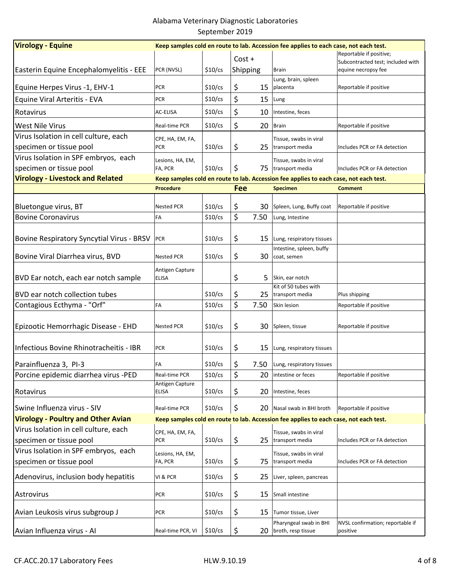| <b>Virology - Equine</b>                         | Keep samples cold en route to lab. Accession fee applies to each case, not each test. |           |          |      |                                                                                       |                                                          |  |  |  |
|--------------------------------------------------|---------------------------------------------------------------------------------------|-----------|----------|------|---------------------------------------------------------------------------------------|----------------------------------------------------------|--|--|--|
|                                                  |                                                                                       |           | $Cost +$ |      |                                                                                       | Reportable if positive;                                  |  |  |  |
| Easterin Equine Encephalomyelitis - EEE          | PCR (NVSL)                                                                            | $$10$ /cs | Shipping |      | <b>Brain</b>                                                                          | Subcontracted test; included with<br>equine necropsy fee |  |  |  |
|                                                  |                                                                                       |           |          |      | Lung, brain, spleen                                                                   |                                                          |  |  |  |
| Equine Herpes Virus -1, EHV-1                    | <b>PCR</b>                                                                            | $$10$ /cs | \$       | 15   | placenta                                                                              | Reportable if positive                                   |  |  |  |
| Equine Viral Arteritis - EVA                     | PCR                                                                                   | \$10/cs   | \$       | 15   | Lung                                                                                  |                                                          |  |  |  |
| Rotavirus                                        | AC-ELISA                                                                              | $$10$ /cs | \$       | 10   | Intestine, feces                                                                      |                                                          |  |  |  |
| <b>West Nile Virus</b>                           | Real-time PCR                                                                         | $$10$ /cs | \$       | 20   | Brain                                                                                 | Reportable if positive                                   |  |  |  |
| Virus Isolation in cell culture, each            | CPE, HA, EM, FA,                                                                      |           |          |      | Tissue, swabs in viral                                                                |                                                          |  |  |  |
| specimen or tissue pool                          | <b>PCR</b>                                                                            | $$10$ /cs | \$       |      | 25 transport media                                                                    | Includes PCR or FA detection                             |  |  |  |
| Virus Isolation in SPF embryos, each             | Lesions, HA, EM,                                                                      |           |          |      | Tissue, swabs in viral                                                                |                                                          |  |  |  |
| specimen or tissue pool                          | FA, PCR                                                                               | $$10$ /cs | \$       |      | 75  transport media                                                                   | Includes PCR or FA detection                             |  |  |  |
| <b>Virology - Livestock and Related</b>          |                                                                                       |           |          |      | Keep samples cold en route to lab. Accession fee applies to each case, not each test. |                                                          |  |  |  |
|                                                  | <b>Procedure</b>                                                                      |           | Fee      |      | <b>Specimen</b>                                                                       | <b>Comment</b>                                           |  |  |  |
|                                                  |                                                                                       |           |          |      |                                                                                       |                                                          |  |  |  |
| Bluetongue virus, BT                             | <b>Nested PCR</b>                                                                     | $$10$ /cs | \$       | 30.  | Spleen, Lung, Buffy coat                                                              | Reportable if positive                                   |  |  |  |
| <b>Bovine Coronavirus</b>                        | FA                                                                                    | $$10$ /cs | \$       | 7.50 | Lung, Intestine                                                                       |                                                          |  |  |  |
|                                                  |                                                                                       |           |          |      |                                                                                       |                                                          |  |  |  |
| <b>Bovine Respiratory Syncytial Virus - BRSV</b> | <b>PCR</b>                                                                            | $$10$ /cs | \$       | 15   | Lung, respiratory tissues                                                             |                                                          |  |  |  |
| Bovine Viral Diarrhea virus, BVD                 | <b>Nested PCR</b>                                                                     | $$10$ /cs | \$       | 30   | Intestine, spleen, buffy<br>coat, semen                                               |                                                          |  |  |  |
|                                                  |                                                                                       |           |          |      |                                                                                       |                                                          |  |  |  |
| BVD Ear notch, each ear notch sample             | Antigen Capture<br><b>ELISA</b>                                                       |           | \$       | 5    | Skin, ear notch                                                                       |                                                          |  |  |  |
|                                                  |                                                                                       |           |          |      | Kit of 50 tubes with                                                                  |                                                          |  |  |  |
| BVD ear notch collection tubes                   |                                                                                       | $$10$ /cs | \$       |      | 25  transport media                                                                   | Plus shipping                                            |  |  |  |
| Contagious Ecthyma - "Orf"                       | FA                                                                                    | $$10$ /cs | \$       | 7.50 | Skin lesion                                                                           | Reportable if positive                                   |  |  |  |
|                                                  |                                                                                       |           |          |      |                                                                                       |                                                          |  |  |  |
| Epizootic Hemorrhagic Disease - EHD              | <b>Nested PCR</b>                                                                     | $$10$ /cs | \$       | 30   | Spleen, tissue                                                                        | Reportable if positive                                   |  |  |  |
|                                                  |                                                                                       |           |          |      |                                                                                       |                                                          |  |  |  |
| Infectious Bovine Rhinotracheitis - IBR          | <b>PCR</b>                                                                            | $$10$ /cs | \$       | 15   | Lung, respiratory tissues                                                             |                                                          |  |  |  |
| Parainfluenza 3, PI-3                            | FA                                                                                    | $$10$ /cs | \$       | 7.50 | Lung, respiratory tissues                                                             |                                                          |  |  |  |
| Porcine epidemic diarrhea virus -PED             | Real-time PCR                                                                         | \$10/cs   | \$       | 20   | intestine or feces                                                                    | Reportable if positive                                   |  |  |  |
|                                                  | Antigen Capture                                                                       |           |          |      |                                                                                       |                                                          |  |  |  |
| Rotavirus                                        | <b>ELISA</b>                                                                          | $$10$ /cs | \$       | 20   | Intestine, feces                                                                      |                                                          |  |  |  |
| Swine Influenza virus - SIV                      | Real-time PCR                                                                         | \$10/cs   | \$       | 20   | Nasal swab in BHI broth                                                               | Reportable if positive                                   |  |  |  |
| <b>Virology - Poultry and Other Avian</b>        |                                                                                       |           |          |      | Keep samples cold en route to lab. Accession fee applies to each case, not each test. |                                                          |  |  |  |
| Virus Isolation in cell culture, each            | CPE, HA, EM, FA,                                                                      |           |          |      | Tissue, swabs in viral                                                                |                                                          |  |  |  |
| specimen or tissue pool                          | <b>PCR</b>                                                                            | $$10$ /cs | \$       |      | 25 transport media                                                                    | Includes PCR or FA detection                             |  |  |  |
| Virus Isolation in SPF embryos, each             |                                                                                       |           |          |      |                                                                                       |                                                          |  |  |  |
| specimen or tissue pool                          | Lesions, HA, EM,<br>FA, PCR                                                           | $$10$ /cs | \$       | 75   | Tissue, swabs in viral<br>transport media                                             | Includes PCR or FA detection                             |  |  |  |
|                                                  |                                                                                       |           |          |      |                                                                                       |                                                          |  |  |  |
| Adenovirus, inclusion body hepatitis             | VI & PCR                                                                              | $$10$ /cs | \$       | 25   | Liver, spleen, pancreas                                                               |                                                          |  |  |  |
| Astrovirus                                       | <b>PCR</b>                                                                            | $$10$ /cs | \$       | 15   | Small intestine                                                                       |                                                          |  |  |  |
|                                                  |                                                                                       |           |          |      |                                                                                       |                                                          |  |  |  |
| Avian Leukosis virus subgroup J                  | <b>PCR</b>                                                                            | $$10$ /cs | \$       | 15   | Tumor tissue, Liver                                                                   |                                                          |  |  |  |
|                                                  |                                                                                       |           |          |      | Pharyngeal swab in BHI                                                                | NVSL confirmation; reportable if                         |  |  |  |
| Avian Influenza virus - Al                       | Real-time PCR, VI                                                                     | $$10$ /cs | \$       | 20   | broth, resp tissue                                                                    | positive                                                 |  |  |  |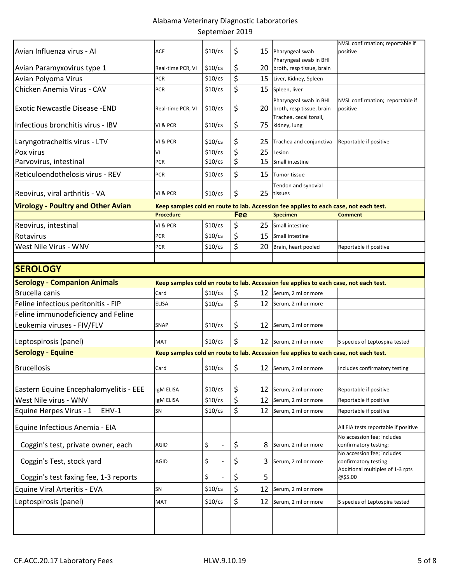|                                           |                   |           |     |    |                                                                                       | NVSL confirmation; reportable if                                                       |
|-------------------------------------------|-------------------|-----------|-----|----|---------------------------------------------------------------------------------------|----------------------------------------------------------------------------------------|
| Avian Influenza virus - Al                | ACE               | $$10$ /cs | \$  | 15 | Pharyngeal swab                                                                       | positive                                                                               |
| Avian Paramyxovirus type 1                | Real-time PCR, VI | $$10$ /cs | \$  | 20 | Pharyngeal swab in BHI<br>broth, resp tissue, brain                                   |                                                                                        |
| Avian Polyoma Virus                       | <b>PCR</b>        | $$10$ /cs | \$  | 15 | Liver, Kidney, Spleen                                                                 |                                                                                        |
| Chicken Anemia Virus - CAV                | PCR               | $$10$ /cs | \$  | 15 | Spleen, liver                                                                         |                                                                                        |
| <b>Exotic Newcastle Disease - END</b>     | Real-time PCR, VI | $$10$ /cs | \$  | 20 | Pharyngeal swab in BHI<br>broth, resp tissue, brain<br>Trachea, cecal tonsil,         | NVSL confirmation; reportable if<br>positive                                           |
| Infectious bronchitis virus - IBV         | VI & PCR          | $$10$ /cs | \$  | 75 | kidney, lung                                                                          |                                                                                        |
| Laryngotracheitis virus - LTV             | VI & PCR          | $$10$ /cs | \$  | 25 | Trachea and conjunctiva                                                               | Reportable if positive                                                                 |
| Pox virus                                 | ٧I                | $$10$ /cs | \$  | 25 | Lesion                                                                                |                                                                                        |
| Parvovirus, intestinal                    | <b>PCR</b>        | $$10$ /cs | \$  | 15 | Small intestine                                                                       |                                                                                        |
| Reticuloendothelosis virus - REV          | <b>PCR</b>        | $$10$ /cs | \$  | 15 | Tumor tissue                                                                          |                                                                                        |
| Reovirus, viral arthritis - VA            | VI & PCR          | $$10$ /cs | \$  | 25 | Tendon and synovial<br>tissues                                                        |                                                                                        |
| <b>Virology - Poultry and Other Avian</b> |                   |           |     |    | Keep samples cold en route to lab. Accession fee applies to each case, not each test. |                                                                                        |
|                                           | <b>Procedure</b>  |           | Fee |    | <b>Specimen</b>                                                                       | <b>Comment</b>                                                                         |
| Reovirus, intestinal                      | VI & PCR          | $$10$ /cs | \$  | 25 | Small intestine                                                                       |                                                                                        |
| Rotavirus                                 | <b>PCR</b>        | $$10$ /cs | \$  | 15 | Small intestine                                                                       |                                                                                        |
| West Nile Virus - WNV                     | PCR               | $$10$ /cs | \$  | 20 | Brain, heart pooled                                                                   | Reportable if positive                                                                 |
|                                           |                   |           |     |    |                                                                                       |                                                                                        |
| <b>SEROLOGY</b>                           |                   |           |     |    |                                                                                       |                                                                                        |
| <b>Serology - Companion Animals</b>       |                   |           |     |    | Keep samples cold en route to lab. Accession fee applies to each case, not each test. |                                                                                        |
| Brucella canis                            | Card              | $$10$ /cs | \$  |    | 12 Serum, 2 ml or more                                                                |                                                                                        |
| Feline infectious peritonitis - FIP       | <b>ELISA</b>      | $$10$ /cs | \$  | 12 | Serum, 2 ml or more                                                                   |                                                                                        |
| Feline immunodeficiency and Feline        |                   |           |     |    |                                                                                       |                                                                                        |
| Leukemia viruses - FIV/FLV                | <b>SNAP</b>       | $$10$ /cs | \$  |    | 12 Serum, 2 ml or more                                                                |                                                                                        |
| Leptospirosis (panel)                     | MAT               | $$10$ /cs | \$  |    | 12 Serum, 2 ml or more                                                                | 5 species of Leptospira tested                                                         |
| <b>Serology - Equine</b>                  |                   |           |     |    | Keep samples cold en route to lab. Accession fee applies to each case, not each test. |                                                                                        |
| <b>Brucellosis</b>                        | Card              | $$10$ /cs | \$  |    | 12 Serum, 2 ml or more                                                                | Includes confirmatory testing                                                          |
| Eastern Equine Encephalomyelitis - EEE    | IgM ELISA         | $$10$ /cs | \$  | 12 | Serum, 2 ml or more                                                                   | Reportable if positive                                                                 |
| West Nile virus - WNV                     | IgM ELISA         | $$10$ /cs | \$  | 12 | Serum, 2 ml or more                                                                   | Reportable if positive                                                                 |
| Equine Herpes Virus - 1<br>EHV-1          | SN                | $$10$ /cs | \$  | 12 | Serum, 2 ml or more                                                                   | Reportable if positive                                                                 |
| Equine Infectious Anemia - EIA            |                   |           |     |    |                                                                                       | All EIA tests reportable if positive                                                   |
| Coggin's test, private owner, each        | AGID              | \$        | \$  | 8  | Serum, 2 ml or more                                                                   | No accession fee; includes<br>confirmatory testing;                                    |
| Coggin's Test, stock yard                 | AGID              | \$        | \$  | 3  | Serum, 2 ml or more                                                                   | No accession fee; includes<br>confirmatory testing<br>Additional multiples of 1-3 rpts |
| Coggin's test faxing fee, 1-3 reports     |                   | \$        | \$  | 5  |                                                                                       | @\$5.00                                                                                |
| Equine Viral Arteritis - EVA              | SN                | $$10$ /cs | \$  | 12 | Serum, 2 ml or more                                                                   |                                                                                        |
| Leptospirosis (panel)                     | <b>MAT</b>        | $$10$ /cs | \$  | 12 | Serum, 2 ml or more                                                                   | 5 species of Leptospira tested                                                         |
|                                           |                   |           |     |    |                                                                                       |                                                                                        |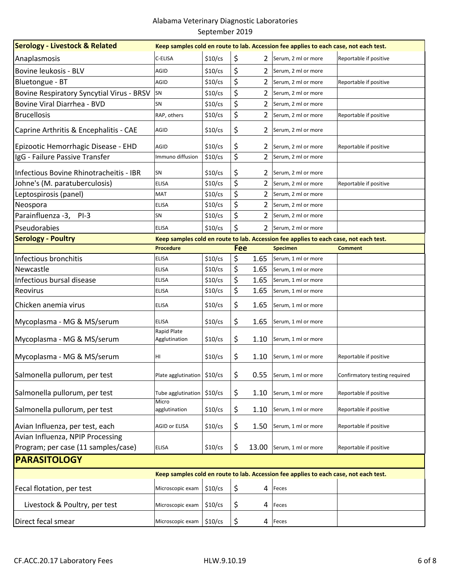| <b>Serology - Livestock &amp; Related</b><br>Keep samples cold en route to lab. Accession fee applies to each case, not each test. |                             |           |            |                |                                                                                       |                               |  |
|------------------------------------------------------------------------------------------------------------------------------------|-----------------------------|-----------|------------|----------------|---------------------------------------------------------------------------------------|-------------------------------|--|
| Anaplasmosis                                                                                                                       | C-ELISA                     | $$10$ /cs | \$         | 2              | Serum, 2 ml or more                                                                   | Reportable if positive        |  |
| Bovine leukosis - BLV                                                                                                              | AGID                        | $$10$ /cs | \$         | 2              | Serum, 2 ml or more                                                                   |                               |  |
| Bluetongue - BT                                                                                                                    | AGID                        | $$10$ /cs | \$         | 2              | Serum, 2 ml or more                                                                   | Reportable if positive        |  |
| Bovine Respiratory Syncytial Virus - BRSV                                                                                          | SN                          | $$10$ /cs | \$         | 2              | Serum, 2 ml or more                                                                   |                               |  |
| Bovine Viral Diarrhea - BVD                                                                                                        | SN                          | $$10$ /cs | \$         | 2              | Serum, 2 ml or more                                                                   |                               |  |
| <b>Brucellosis</b>                                                                                                                 | RAP, others                 | $$10$ /cs | \$         | 2              | Serum, 2 ml or more                                                                   | Reportable if positive        |  |
| Caprine Arthritis & Encephalitis - CAE                                                                                             | AGID                        | $$10$ /cs | \$         | 2              | Serum, 2 ml or more                                                                   |                               |  |
| Epizootic Hemorrhagic Disease - EHD                                                                                                | AGID                        | $$10$ /cs | \$         | 2              | Serum, 2 ml or more                                                                   | Reportable if positive        |  |
| IgG - Failure Passive Transfer                                                                                                     | Immuno diffusion            | $$10$ /cs | \$         | $\overline{2}$ | Serum, 2 ml or more                                                                   |                               |  |
| Infectious Bovine Rhinotracheitis - IBR                                                                                            | SN                          | $$10$ /cs | \$         | 2              | Serum, 2 ml or more                                                                   |                               |  |
| Johne's (M. paratuberculosis)                                                                                                      | <b>ELISA</b>                | $$10$ /cs | \$         | $\overline{2}$ | Serum, 2 ml or more                                                                   | Reportable if positive        |  |
| Leptospirosis (panel)                                                                                                              | <b>MAT</b>                  | $$10$ /cs | \$         | 2              | Serum, 2 ml or more                                                                   |                               |  |
| Neospora                                                                                                                           | <b>ELISA</b>                | $$10$ /cs | \$         | 2              | Serum, 2 ml or more                                                                   |                               |  |
| Parainfluenza -3,<br>$PI-3$                                                                                                        | SN                          | $$10$ /cs | \$         | 2              | Serum, 2 ml or more                                                                   |                               |  |
| Pseudorabies                                                                                                                       | <b>ELISA</b>                | \$10/cs   | \$         | $\overline{2}$ | Serum, 2 ml or more                                                                   |                               |  |
| <b>Serology - Poultry</b><br>Keep samples cold en route to lab. Accession fee applies to each case, not each test.                 |                             |           |            |                |                                                                                       |                               |  |
|                                                                                                                                    | <b>Procedure</b>            |           | <b>Fee</b> |                | <b>Specimen</b>                                                                       | <b>Comment</b>                |  |
| Infectious bronchitis                                                                                                              | <b>ELISA</b>                | \$10/cs   | \$         | 1.65           | Serum, 1 ml or more                                                                   |                               |  |
| Newcastle                                                                                                                          | <b>ELISA</b>                | $$10$ /cs | \$         | 1.65           | Serum, 1 ml or more                                                                   |                               |  |
| Infectious bursal disease                                                                                                          | <b>ELISA</b>                | $$10$ /cs | \$         | 1.65           | Serum, 1 ml or more                                                                   |                               |  |
| <b>Reovirus</b>                                                                                                                    | <b>ELISA</b>                | $$10$ /cs | \$         | 1.65           | Serum, 1 ml or more                                                                   |                               |  |
| Chicken anemia virus                                                                                                               | <b>ELISA</b>                | $$10$ /cs | \$         | 1.65           | Serum, 1 ml or more                                                                   |                               |  |
| Mycoplasma - MG & MS/serum                                                                                                         | <b>ELISA</b><br>Rapid Plate | $$10$ /cs | \$         | 1.65           | Serum, 1 ml or more                                                                   |                               |  |
| Mycoplasma - MG & MS/serum                                                                                                         | Agglutination               | $$10$ /cs | \$         | 1.10           | Serum, 1 ml or more                                                                   |                               |  |
| Mycoplasma - MG & MS/serum                                                                                                         | HI                          | $$10$ /cs | \$         | 1.10           | Serum, 1 ml or more                                                                   | Reportable if positive        |  |
| Salmonella pullorum, per test                                                                                                      | Plate agglutination         | \$10/cs   | \$         | 0.55           | Serum, 1 ml or more                                                                   | Confirmatory testing required |  |
| Salmonella pullorum, per test                                                                                                      | Tube agglutination<br>Micro | $$10$ /cs | \$         | 1.10           | Serum, 1 ml or more                                                                   | Reportable if positive        |  |
| Salmonella pullorum, per test                                                                                                      | agglutination               | $$10$ /cs | \$         | 1.10           | Serum, 1 ml or more                                                                   | Reportable if positive        |  |
| Avian Influenza, per test, each                                                                                                    | AGID or ELISA               | $$10$ /cs | \$         | 1.50           | Serum, 1 ml or more                                                                   | Reportable if positive        |  |
| Avian Influenza, NPIP Processing                                                                                                   |                             |           |            |                |                                                                                       |                               |  |
| Program; per case (11 samples/case)                                                                                                | <b>ELISA</b>                | $$10$ /cs | \$         | 13.00          | Serum, 1 ml or more                                                                   | Reportable if positive        |  |
| <b>PARASITOLOGY</b>                                                                                                                |                             |           |            |                |                                                                                       |                               |  |
|                                                                                                                                    |                             |           |            |                | Keep samples cold en route to lab. Accession fee applies to each case, not each test. |                               |  |
| Fecal flotation, per test                                                                                                          | Microscopic exam            | $$10$ /cs | \$         | 4              | Feces                                                                                 |                               |  |
| Livestock & Poultry, per test                                                                                                      | Microscopic exam            | $$10$ /cs | \$         | 4              | Feces                                                                                 |                               |  |
| Direct fecal smear                                                                                                                 | Microscopic exam            | $$10$ /cs | \$         |                | 4 Feces                                                                               |                               |  |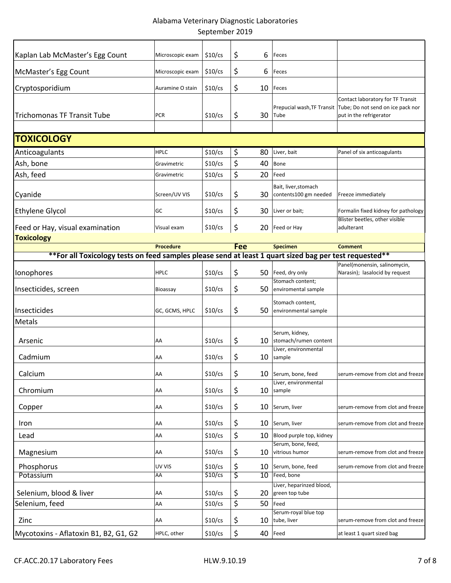| Kaplan Lab McMaster's Egg Count                                                                         | Microscopic exam | $$10$ /cs | \$<br>6    | Feces                                         |                                                                                                                              |
|---------------------------------------------------------------------------------------------------------|------------------|-----------|------------|-----------------------------------------------|------------------------------------------------------------------------------------------------------------------------------|
| McMaster's Egg Count                                                                                    | Microscopic exam | $$10$ /cs | \$<br>6    | Feces                                         |                                                                                                                              |
| Cryptosporidium                                                                                         | Auramine O stain | $$10$ /cs | \$<br>10   | Feces                                         |                                                                                                                              |
| <b>Trichomonas TF Transit Tube</b>                                                                      | <b>PCR</b>       | $$10$ /cs | \$<br>30   | Tube                                          | Contact laboratory for TF Transit<br>Prepucial wash, TF Transit Tube; Do not send on ice pack nor<br>put in the refrigerator |
| <b>TOXICOLOGY</b>                                                                                       |                  |           |            |                                               |                                                                                                                              |
| Anticoagulants                                                                                          | <b>HPLC</b>      | $$10$ /cs | \$<br>80   | Liver, bait                                   | Panel of six anticoagulants                                                                                                  |
| Ash, bone                                                                                               | Gravimetric      | $$10$ /cs | \$<br>40   | Bone                                          |                                                                                                                              |
| Ash, feed                                                                                               | Gravimetric      | $$10$ /cs | \$<br>20   | Feed                                          |                                                                                                                              |
| Cyanide                                                                                                 | Screen/UV VIS    | $$10$ /cs | \$<br>30   | Bait, liver, stomach<br>contents100 gm needed | Freeze immediately                                                                                                           |
| <b>Ethylene Glycol</b>                                                                                  | GC               | $$10$ /cs | \$<br>30   | Liver or bait;                                | Formalin fixed kidney for pathology                                                                                          |
| Feed or Hay, visual examination                                                                         | Visual exam      | $$10$ /cs | \$<br>20   | Feed or Hay                                   | Blister beetles, other visible<br>adulterant                                                                                 |
| <b>Toxicology</b>                                                                                       |                  |           |            |                                               |                                                                                                                              |
|                                                                                                         | <b>Procedure</b> |           | <b>Fee</b> | <b>Specimen</b>                               | <b>Comment</b>                                                                                                               |
| ** For all Toxicology tests on feed samples please send at least 1 quart sized bag per test requested** |                  |           |            |                                               | Panel(monensin, salinomycin,                                                                                                 |
| Ionophores                                                                                              | <b>HPLC</b>      | $$10$ /cs | \$         | 50 Feed, dry only<br>Stomach content;         | Narasin); lasalocid by request                                                                                               |
| Insecticides, screen                                                                                    | Bioassay         | $$10$ /cs | \$<br>50   | enviromental sample                           |                                                                                                                              |
| Insecticides<br>Metals                                                                                  | GC, GCMS, HPLC   | $$10$ /cs | \$<br>50   | Stomach content,<br>environmental sample      |                                                                                                                              |
| Arsenic                                                                                                 | AA               | $$10$ /cs | \$<br>10   | Serum, kidney,<br>stomach/rumen content       |                                                                                                                              |
| Cadmium                                                                                                 | AA               | $$10$ /cs | \$<br>10   | Liver, environmental<br>sample                |                                                                                                                              |
| Calcium                                                                                                 | AA               | \$10/cs   | \$<br>10   | Serum, bone, feed                             | serum-remove from clot and freeze                                                                                            |
| Chromium                                                                                                | AA               | $$10$ /cs | \$<br>10   | Liver, environmental<br>sample                |                                                                                                                              |
| Copper                                                                                                  | AA               | $$10$ /cs | \$<br>10   | Serum, liver                                  | serum-remove from clot and freeze                                                                                            |
| Iron                                                                                                    | AA               | $$10$ /cs | \$<br>10   | Serum, liver                                  | serum-remove from clot and freeze                                                                                            |
| Lead                                                                                                    | AA               | $$10$ /cs | \$<br>10   | Blood purple top, kidney                      |                                                                                                                              |
| Magnesium                                                                                               | AA               | $$10$ /cs | \$<br>10   | Serum, bone, feed,<br>vitrious humor          | serum-remove from clot and freeze                                                                                            |
| Phosphorus                                                                                              | UV VIS           | $$10$ /cs | \$<br>10   | Serum, bone, feed                             | serum-remove from clot and freeze                                                                                            |
| Potassium                                                                                               | AA               | $$10$ /cs | \$<br>10   | Feed, bone                                    |                                                                                                                              |
| Selenium, blood & liver                                                                                 | AA               | $$10$ /cs | \$<br>20   | Liver, heparinzed blood,<br>green top tube    |                                                                                                                              |
| Selenium, feed                                                                                          | AA               | $$10$ /cs | \$<br>50   | Feed                                          |                                                                                                                              |
| Zinc                                                                                                    | AA               | $$10$ /cs | \$<br>10   | Serum-royal blue top<br>tube, liver           | serum-remove from clot and freeze                                                                                            |
| Mycotoxins - Aflatoxin B1, B2, G1, G2                                                                   | HPLC, other      | $$10$ /cs | \$<br>40   | Feed                                          | at least 1 quart sized bag                                                                                                   |